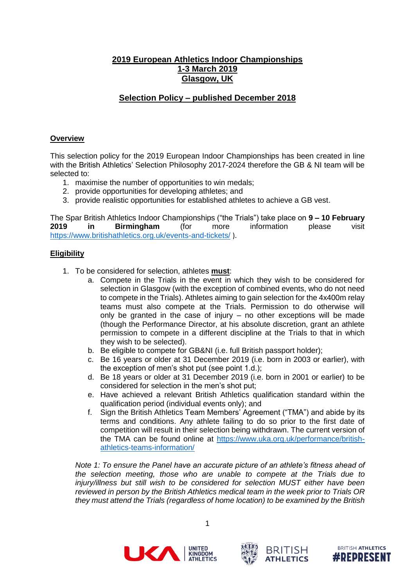# **2019 European Athletics Indoor Championships 1-3 March 2019 Glasgow, UK**

# **Selection Policy – published December 2018**

### **Overview**

This selection policy for the 2019 European Indoor Championships has been created in line with the British Athletics' Selection Philosophy 2017-2024 therefore the GB & NI team will be selected to:

- 1. maximise the number of opportunities to win medals;
- 2. provide opportunities for developing athletes; and
- 3. provide realistic opportunities for established athletes to achieve a GB vest.

The Spar British Athletics Indoor Championships ("the Trials") take place on **9 – 10 February 2019 in Birmingham** (for more information please visit <https://www.britishathletics.org.uk/events-and-tickets/> ).

#### **Eligibility**

- 1. To be considered for selection, athletes **must**:
	- a. Compete in the Trials in the event in which they wish to be considered for selection in Glasgow (with the exception of combined events, who do not need to compete in the Trials). Athletes aiming to gain selection for the 4x400m relay teams must also compete at the Trials. Permission to do otherwise will only be granted in the case of injury – no other exceptions will be made (though the Performance Director, at his absolute discretion, grant an athlete permission to compete in a different discipline at the Trials to that in which they wish to be selected).
	- b. Be eligible to compete for GB&NI (i.e. full British passport holder);
	- c. Be 16 years or older at 31 December 2019 (i.e. born in 2003 or earlier), with the exception of men's shot put (see point 1.d.);
	- d. Be 18 years or older at 31 December 2019 (i.e. born in 2001 or earlier) to be considered for selection in the men's shot put;
	- e. Have achieved a relevant British Athletics qualification standard within the qualification period (individual events only); and
	- f. Sign the British Athletics Team Members' Agreement ("TMA") and abide by its terms and conditions. Any athlete failing to do so prior to the first date of competition will result in their selection being withdrawn. The current version of the TMA can be found online at [https://www.uka.org.uk/performance/british](https://www.uka.org.uk/performance/british-athletics-teams-information/)[athletics-teams-information/](https://www.uka.org.uk/performance/british-athletics-teams-information/)

*Note 1: To ensure the Panel have an accurate picture of an athlete's fitness ahead of the selection meeting, those who are unable to compete at the Trials due to injury/illness but still wish to be considered for selection MUST either have been reviewed in person by the British Athletics medical team in the week prior to Trials OR they must attend the Trials (regardless of home location) to be examined by the British* 





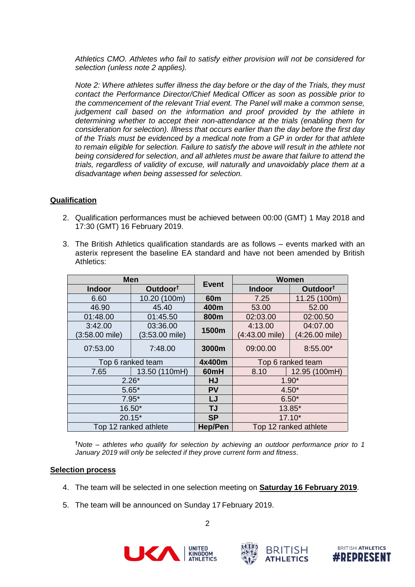*Athletics CMO. Athletes who fail to satisfy either provision will not be considered for selection (unless note 2 applies).*

*Note 2: Where athletes suffer illness the day before or the day of the Trials, they must contact the Performance Director/Chief Medical Officer as soon as possible prior to the commencement of the relevant Trial event. The Panel will make a common sense, judgement call based on the information and proof provided by the athlete in determining whether to accept their non-attendance at the trials (enabling them for consideration for selection). Illness that occurs earlier than the day before the first day of the Trials must be evidenced by a medical note from a GP in order for that athlete to remain eligible for selection. Failure to satisfy the above will result in the athlete not being considered for selection, and all athletes must be aware that failure to attend the trials, regardless of validity of excuse, will naturally and unavoidably place them at a disadvantage when being assessed for selection.*

## **Qualification**

- 2. Qualification performances must be achieved between 00:00 (GMT) 1 May 2018 and 17:30 (GMT) 16 February 2019.
- 3. The British Athletics qualification standards are as follows events marked with an asterix represent the baseline EA standard and have not been amended by British Athletics:

| <b>Men</b>            |                      | <b>Event</b>    | <b>Women</b>          |                      |
|-----------------------|----------------------|-----------------|-----------------------|----------------------|
| Indoor                | Outdoor <sup>t</sup> |                 | Indoor                | Outdoor <sup>t</sup> |
| 6.60                  | 10.20 (100m)         | 60 <sub>m</sub> | 7.25                  | 11.25 (100m)         |
| 46.90                 | 45.40                | 400m            | 53.00                 | 52.00                |
| 01:48.00              | 01:45.50             | 800m            | 02:03.00              | 02:00.50             |
| 3:42.00               | 03:36.00             | 1500m           | 4:13.00               | 04:07.00             |
| (3:58.00 mile)        | (3:53.00 mile)       |                 | $(4:43.00$ mile)      | (4:26.00 mile)       |
| 07:53.00              | 7:48.00              | 3000m           | 09:00.00              | $8:55.00*$           |
| Top 6 ranked team     |                      | 4x400m          | Top 6 ranked team     |                      |
| 7.65                  | 13.50 (110mH)        | 60mH            | 8.10                  | 12.95 (100mH)        |
| $2.26*$               |                      | <b>HJ</b>       | $1.90*$               |                      |
| $5.65*$               |                      | <b>PV</b>       | $4.50*$               |                      |
| $7.95*$               |                      | LJ              | $6.50*$               |                      |
| 16.50*                |                      | <b>TJ</b>       | 13.85*                |                      |
| $20.15*$              |                      | <b>SP</b>       | $17.10*$              |                      |
| Top 12 ranked athlete |                      | <b>Hep/Pen</b>  | Top 12 ranked athlete |                      |

**†***Note – athletes who qualify for selection by achieving an outdoor performance prior to 1 January 2019 will only be selected if they prove current form and fitness.*

#### **Selection process**

- 4. The team will be selected in one selection meeting on **Saturday 16 February 2019**.
- 5. The team will be announced on Sunday 17 February 2019.





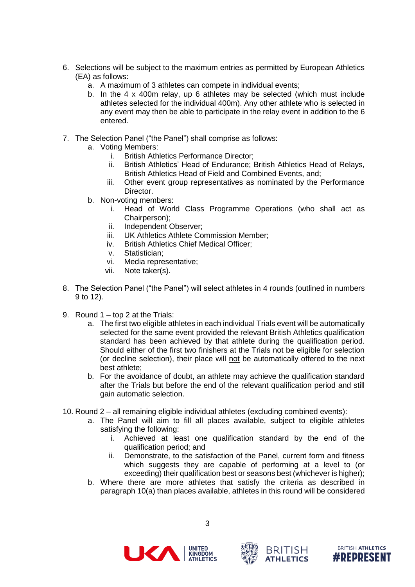- 6. Selections will be subject to the maximum entries as permitted by European Athletics (EA) as follows:
	- a. A maximum of 3 athletes can compete in individual events;
	- b. In the 4 x 400m relay, up 6 athletes may be selected (which must include athletes selected for the individual 400m). Any other athlete who is selected in any event may then be able to participate in the relay event in addition to the 6 entered.
- 7. The Selection Panel ("the Panel") shall comprise as follows:
	- a. Voting Members:
		- i. British Athletics Performance Director;
		- ii. British Athletics' Head of Endurance; British Athletics Head of Relays, British Athletics Head of Field and Combined Events, and;
		- iii. Other event group representatives as nominated by the Performance Director.
	- b. Non-voting members:
		- i. Head of World Class Programme Operations (who shall act as Chairperson);
		- ii. Independent Observer;
		- iii. UK Athletics Athlete Commission Member;
		- iv. British Athletics Chief Medical Officer;
		-
		- v. Statistician;<br>vi. Media repre Media representative;
		- vii. Note taker(s).
- 8. The Selection Panel ("the Panel") will select athletes in 4 rounds (outlined in numbers 9 to 12).
- 9. Round 1 top 2 at the Trials:
	- a. The first two eligible athletes in each individual Trials event will be automatically selected for the same event provided the relevant British Athletics qualification standard has been achieved by that athlete during the qualification period. Should either of the first two finishers at the Trials not be eligible for selection (or decline selection), their place will not be automatically offered to the next best athlete;
	- b. For the avoidance of doubt, an athlete may achieve the qualification standard after the Trials but before the end of the relevant qualification period and still gain automatic selection.
- 10. Round 2 all remaining eligible individual athletes (excluding combined events):
	- a. The Panel will aim to fill all places available, subject to eligible athletes satisfying the following:
		- i. Achieved at least one qualification standard by the end of the qualification period; and
		- ii. Demonstrate, to the satisfaction of the Panel, current form and fitness which suggests they are capable of performing at a level to (or exceeding) their qualification best or seasons best (whichever is higher);
	- b. Where there are more athletes that satisfy the criteria as described in paragraph 10(a) than places available, athletes in this round will be considered





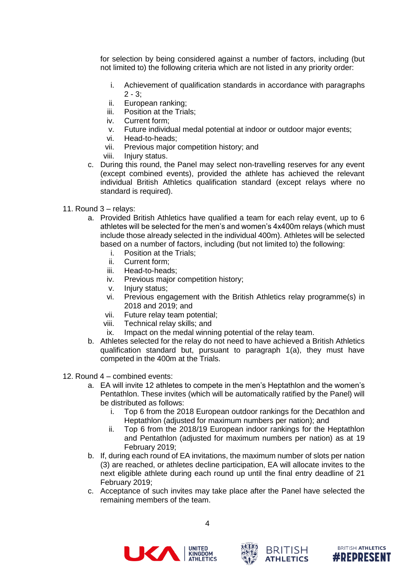for selection by being considered against a number of factors, including (but not limited to) the following criteria which are not listed in any priority order:

- i. Achievement of qualification standards in accordance with paragraphs  $2 - 3$ ;
- ii. European ranking;
- iii. Position at the Trials;
- iv. Current form;
- v. Future individual medal potential at indoor or outdoor major events;
- vi. Head-to-heads;
- vii. Previous major competition history; and
- viii. Injury status.
- c. During this round, the Panel may select non-travelling reserves for any event (except combined events), provided the athlete has achieved the relevant individual British Athletics qualification standard (except relays where no standard is required).
- 11. Round 3 relays:
	- a. Provided British Athletics have qualified a team for each relay event, up to 6 athletes will be selected for the men's and women's 4x400m relays (which must include those already selected in the individual 400m). Athletes will be selected based on a number of factors, including (but not limited to) the following:
		- i. Position at the Trials;
		- ii. Current form;
		- iii. Head-to-heads;
		- iv. Previous major competition history;
		- v. Injury status;<br>vi. Previous enc
		- Previous engagement with the British Athletics relay programme(s) in 2018 and 2019; and
		- vii. Future relay team potential;
		- viii. Technical relay skills; and
		- ix. Impact on the medal winning potential of the relay team.
	- b. Athletes selected for the relay do not need to have achieved a British Athletics qualification standard but, pursuant to paragraph 1(a), they must have competed in the 400m at the Trials.
- 12. Round 4 combined events:
	- a. EA will invite 12 athletes to compete in the men's Heptathlon and the women's Pentathlon. These invites (which will be automatically ratified by the Panel) will be distributed as follows:
		- i. Top 6 from the 2018 European outdoor rankings for the Decathlon and Heptathlon (adjusted for maximum numbers per nation); and
		- ii. Top 6 from the 2018/19 European indoor rankings for the Heptathlon and Pentathlon (adjusted for maximum numbers per nation) as at 19 February 2019;
	- b. If, during each round of EA invitations, the maximum number of slots per nation (3) are reached, or athletes decline participation, EA will allocate invites to the next eligible athlete during each round up until the final entry deadline of 21 February 2019;
	- c. Acceptance of such invites may take place after the Panel have selected the remaining members of the team.





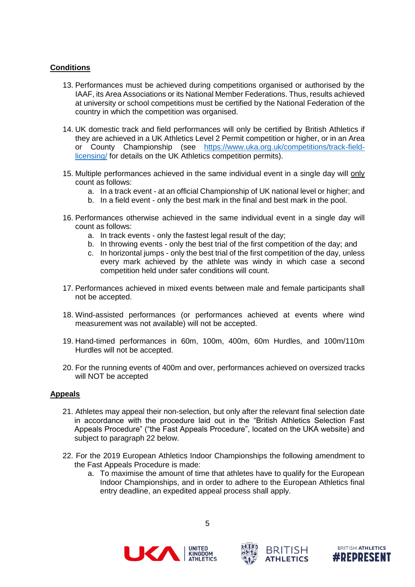## **Conditions**

- 13. Performances must be achieved during competitions organised or authorised by the IAAF, its Area Associations or its National Member Federations. Thus, results achieved at university or school competitions must be certified by the National Federation of the country in which the competition was organised.
- 14. UK domestic track and field performances will only be certified by British Athletics if they are achieved in a UK Athletics Level 2 Permit competition or higher, or in an Area or County Championship (see [https://www.uka.org.uk/competitions/track-field](https://www.uka.org.uk/competitions/track-field-licensing/)[licensing/](https://www.uka.org.uk/competitions/track-field-licensing/) for details on the UK Athletics competition permits).
- 15. Multiple performances achieved in the same individual event in a single day will only count as follows:
	- a. In a track event at an official Championship of UK national level or higher; and
	- b. In a field event only the best mark in the final and best mark in the pool.
- 16. Performances otherwise achieved in the same individual event in a single day will count as follows:
	- a. In track events only the fastest legal result of the day;
	- b. In throwing events only the best trial of the first competition of the day; and
	- c. In horizontal jumps only the best trial of the first competition of the day, unless every mark achieved by the athlete was windy in which case a second competition held under safer conditions will count.
- 17. Performances achieved in mixed events between male and female participants shall not be accepted.
- 18. Wind-assisted performances (or performances achieved at events where wind measurement was not available) will not be accepted.
- 19. Hand-timed performances in 60m, 100m, 400m, 60m Hurdles, and 100m/110m Hurdles will not be accepted.
- 20. For the running events of 400m and over, performances achieved on oversized tracks will NOT be accepted

## **Appeals**

- 21. Athletes may appeal their non-selection, but only after the relevant final selection date in accordance with the procedure laid out in the "British Athletics Selection Fast Appeals Procedure" ("the Fast Appeals Procedure", located on the UKA website) and subject to paragraph 22 below.
- 22. For the 2019 European Athletics Indoor Championships the following amendment to the Fast Appeals Procedure is made:
	- a. To maximise the amount of time that athletes have to qualify for the European Indoor Championships, and in order to adhere to the European Athletics final entry deadline, an expedited appeal process shall apply.